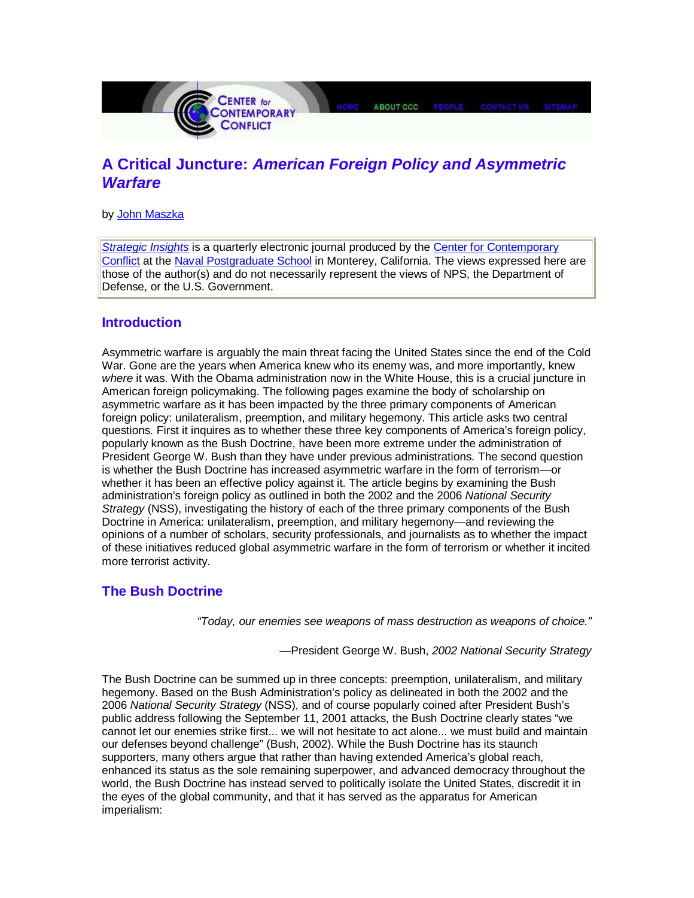

# **A Critical Juncture: American Foreign Policy and Asymmetric Warfare**

by John Maszka

Strategic Insights is a quarterly electronic journal produced by the Center for Contemporary Conflict at the Naval Postgraduate School in Monterey, California. The views expressed here are those of the author(s) and do not necessarily represent the views of NPS, the Department of Defense, or the U.S. Government.

## **Introduction**

Asymmetric warfare is arguably the main threat facing the United States since the end of the Cold War. Gone are the years when America knew who its enemy was, and more importantly, knew where it was. With the Obama administration now in the White House, this is a crucial juncture in American foreign policymaking. The following pages examine the body of scholarship on asymmetric warfare as it has been impacted by the three primary components of American foreign policy: unilateralism, preemption, and military hegemony. This article asks two central questions. First it inquires as to whether these three key components of America's foreign policy, popularly known as the Bush Doctrine, have been more extreme under the administration of President George W. Bush than they have under previous administrations. The second question is whether the Bush Doctrine has increased asymmetric warfare in the form of terrorism—or whether it has been an effective policy against it. The article begins by examining the Bush administration's foreign policy as outlined in both the 2002 and the 2006 National Security Strategy (NSS), investigating the history of each of the three primary components of the Bush Doctrine in America: unilateralism, preemption, and military hegemony—and reviewing the opinions of a number of scholars, security professionals, and journalists as to whether the impact of these initiatives reduced global asymmetric warfare in the form of terrorism or whether it incited more terrorist activity.

## **The Bush Doctrine**

"Today, our enemies see weapons of mass destruction as weapons of choice."

—President George W. Bush, 2002 National Security Strategy

The Bush Doctrine can be summed up in three concepts: preemption, unilateralism, and military hegemony. Based on the Bush Administration's policy as delineated in both the 2002 and the 2006 National Security Strategy (NSS), and of course popularly coined after President Bush's public address following the September 11, 2001 attacks, the Bush Doctrine clearly states "we cannot let our enemies strike first... we will not hesitate to act alone... we must build and maintain our defenses beyond challenge" (Bush, 2002). While the Bush Doctrine has its staunch supporters, many others argue that rather than having extended America's global reach, enhanced its status as the sole remaining superpower, and advanced democracy throughout the world, the Bush Doctrine has instead served to politically isolate the United States, discredit it in the eyes of the global community, and that it has served as the apparatus for American imperialism: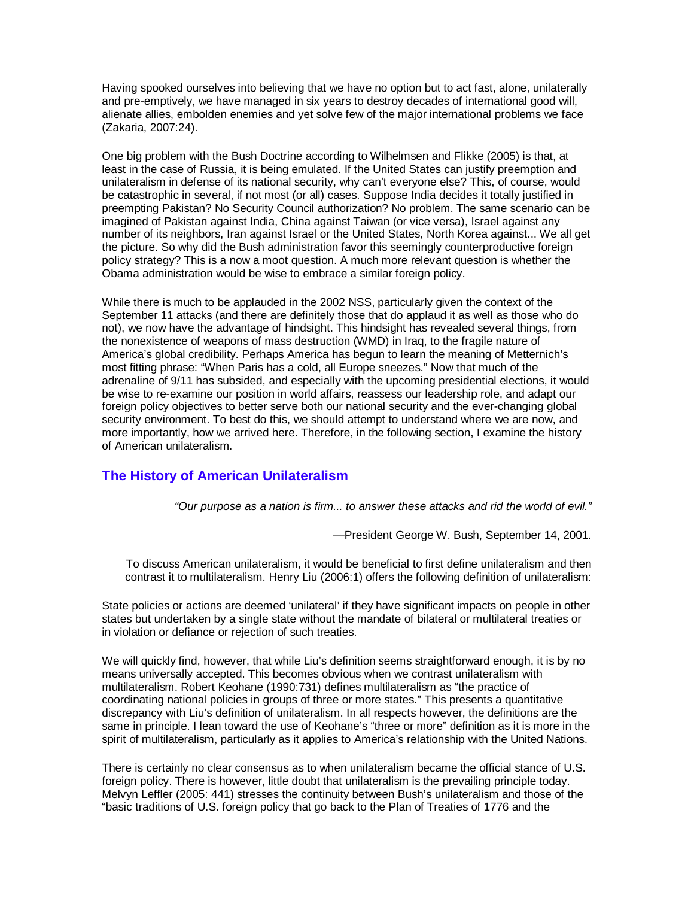Having spooked ourselves into believing that we have no option but to act fast, alone, unilaterally and pre-emptively, we have managed in six years to destroy decades of international good will, alienate allies, embolden enemies and yet solve few of the major international problems we face (Zakaria, 2007:24).

One big problem with the Bush Doctrine according to Wilhelmsen and Flikke (2005) is that, at least in the case of Russia, it is being emulated. If the United States can justify preemption and unilateralism in defense of its national security, why can't everyone else? This, of course, would be catastrophic in several, if not most (or all) cases. Suppose India decides it totally justified in preempting Pakistan? No Security Council authorization? No problem. The same scenario can be imagined of Pakistan against India, China against Taiwan (or vice versa), Israel against any number of its neighbors, Iran against Israel or the United States, North Korea against... We all get the picture. So why did the Bush administration favor this seemingly counterproductive foreign policy strategy? This is a now a moot question. A much more relevant question is whether the Obama administration would be wise to embrace a similar foreign policy.

While there is much to be applauded in the 2002 NSS, particularly given the context of the September 11 attacks (and there are definitely those that do applaud it as well as those who do not), we now have the advantage of hindsight. This hindsight has revealed several things, from the nonexistence of weapons of mass destruction (WMD) in Iraq, to the fragile nature of America's global credibility. Perhaps America has begun to learn the meaning of Metternich's most fitting phrase: "When Paris has a cold, all Europe sneezes." Now that much of the adrenaline of 9/11 has subsided, and especially with the upcoming presidential elections, it would be wise to re-examine our position in world affairs, reassess our leadership role, and adapt our foreign policy objectives to better serve both our national security and the ever-changing global security environment. To best do this, we should attempt to understand where we are now, and more importantly, how we arrived here. Therefore, in the following section, I examine the history of American unilateralism.

## **The History of American Unilateralism**

"Our purpose as a nation is firm... to answer these attacks and rid the world of evil."

—President George W. Bush, September 14, 2001.

To discuss American unilateralism, it would be beneficial to first define unilateralism and then contrast it to multilateralism. Henry Liu (2006:1) offers the following definition of unilateralism:

State policies or actions are deemed 'unilateral' if they have significant impacts on people in other states but undertaken by a single state without the mandate of bilateral or multilateral treaties or in violation or defiance or rejection of such treaties.

We will quickly find, however, that while Liu's definition seems straightforward enough, it is by no means universally accepted. This becomes obvious when we contrast unilateralism with multilateralism. Robert Keohane (1990:731) defines multilateralism as "the practice of coordinating national policies in groups of three or more states." This presents a quantitative discrepancy with Liu's definition of unilateralism. In all respects however, the definitions are the same in principle. I lean toward the use of Keohane's "three or more" definition as it is more in the spirit of multilateralism, particularly as it applies to America's relationship with the United Nations.

There is certainly no clear consensus as to when unilateralism became the official stance of U.S. foreign policy. There is however, little doubt that unilateralism is the prevailing principle today. Melvyn Leffler (2005: 441) stresses the continuity between Bush's unilateralism and those of the "basic traditions of U.S. foreign policy that go back to the Plan of Treaties of 1776 and the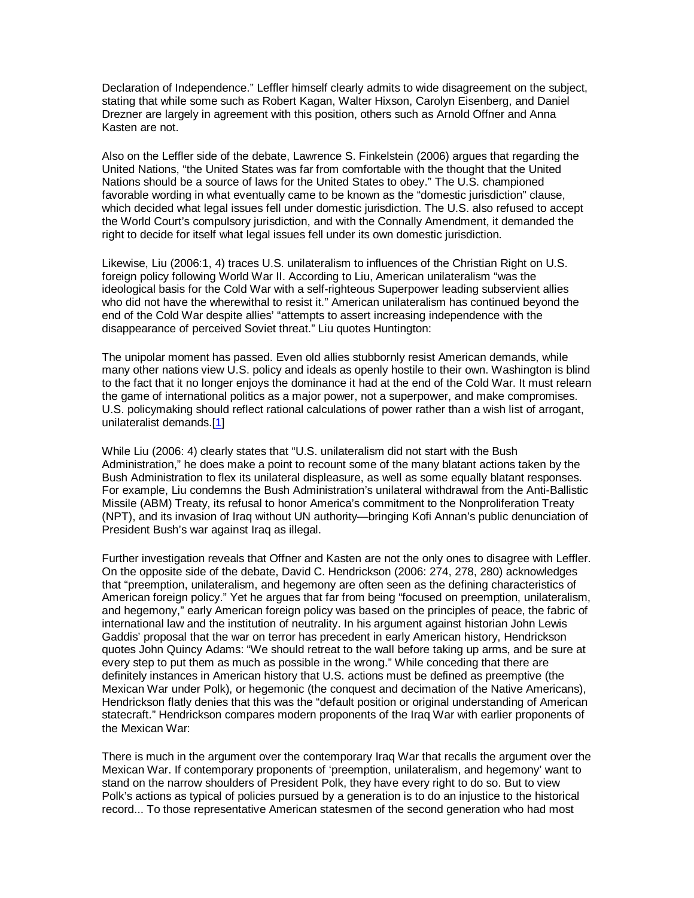Declaration of Independence." Leffler himself clearly admits to wide disagreement on the subject, stating that while some such as Robert Kagan, Walter Hixson, Carolyn Eisenberg, and Daniel Drezner are largely in agreement with this position, others such as Arnold Offner and Anna Kasten are not.

Also on the Leffler side of the debate, Lawrence S. Finkelstein (2006) argues that regarding the United Nations, "the United States was far from comfortable with the thought that the United Nations should be a source of laws for the United States to obey." The U.S. championed favorable wording in what eventually came to be known as the "domestic jurisdiction" clause, which decided what legal issues fell under domestic jurisdiction. The U.S. also refused to accept the World Court's compulsory jurisdiction, and with the Connally Amendment, it demanded the right to decide for itself what legal issues fell under its own domestic jurisdiction.

Likewise, Liu (2006:1, 4) traces U.S. unilateralism to influences of the Christian Right on U.S. foreign policy following World War II. According to Liu, American unilateralism "was the ideological basis for the Cold War with a self-righteous Superpower leading subservient allies who did not have the wherewithal to resist it." American unilateralism has continued beyond the end of the Cold War despite allies' "attempts to assert increasing independence with the disappearance of perceived Soviet threat." Liu quotes Huntington:

The unipolar moment has passed. Even old allies stubbornly resist American demands, while many other nations view U.S. policy and ideals as openly hostile to their own. Washington is blind to the fact that it no longer enjoys the dominance it had at the end of the Cold War. It must relearn the game of international politics as a major power, not a superpower, and make compromises. U.S. policymaking should reflect rational calculations of power rather than a wish list of arrogant, unilateralist demands.[1]

While Liu (2006: 4) clearly states that "U.S. unilateralism did not start with the Bush Administration," he does make a point to recount some of the many blatant actions taken by the Bush Administration to flex its unilateral displeasure, as well as some equally blatant responses. For example, Liu condemns the Bush Administration's unilateral withdrawal from the Anti-Ballistic Missile (ABM) Treaty, its refusal to honor America's commitment to the Nonproliferation Treaty (NPT), and its invasion of Iraq without UN authority—bringing Kofi Annan's public denunciation of President Bush's war against Iraq as illegal.

Further investigation reveals that Offner and Kasten are not the only ones to disagree with Leffler. On the opposite side of the debate, David C. Hendrickson (2006: 274, 278, 280) acknowledges that "preemption, unilateralism, and hegemony are often seen as the defining characteristics of American foreign policy." Yet he argues that far from being "focused on preemption, unilateralism, and hegemony," early American foreign policy was based on the principles of peace, the fabric of international law and the institution of neutrality. In his argument against historian John Lewis Gaddis' proposal that the war on terror has precedent in early American history, Hendrickson quotes John Quincy Adams: "We should retreat to the wall before taking up arms, and be sure at every step to put them as much as possible in the wrong." While conceding that there are definitely instances in American history that U.S. actions must be defined as preemptive (the Mexican War under Polk), or hegemonic (the conquest and decimation of the Native Americans), Hendrickson flatly denies that this was the "default position or original understanding of American statecraft." Hendrickson compares modern proponents of the Iraq War with earlier proponents of the Mexican War:

There is much in the argument over the contemporary Iraq War that recalls the argument over the Mexican War. If contemporary proponents of 'preemption, unilateralism, and hegemony' want to stand on the narrow shoulders of President Polk, they have every right to do so. But to view Polk's actions as typical of policies pursued by a generation is to do an injustice to the historical record... To those representative American statesmen of the second generation who had most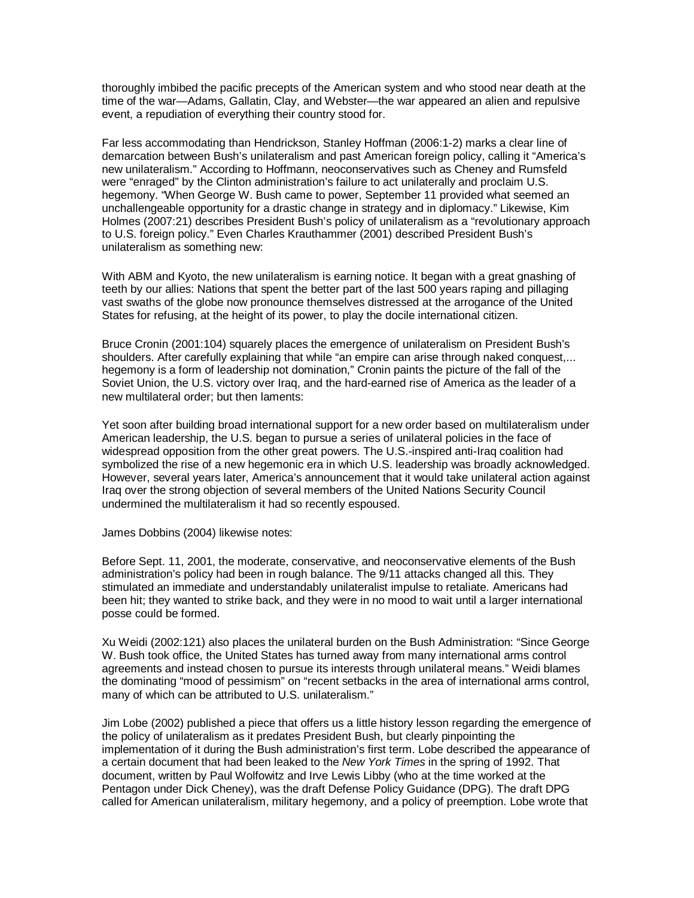thoroughly imbibed the pacific precepts of the American system and who stood near death at the time of the war—Adams, Gallatin, Clay, and Webster—the war appeared an alien and repulsive event, a repudiation of everything their country stood for.

Far less accommodating than Hendrickson, Stanley Hoffman (2006:1-2) marks a clear line of demarcation between Bush's unilateralism and past American foreign policy, calling it "America's new unilateralism." According to Hoffmann, neoconservatives such as Cheney and Rumsfeld were "enraged" by the Clinton administration's failure to act unilaterally and proclaim U.S. hegemony. "When George W. Bush came to power, September 11 provided what seemed an unchallengeable opportunity for a drastic change in strategy and in diplomacy." Likewise, Kim Holmes (2007:21) describes President Bush's policy of unilateralism as a "revolutionary approach to U.S. foreign policy." Even Charles Krauthammer (2001) described President Bush's unilateralism as something new:

With ABM and Kyoto, the new unilateralism is earning notice. It began with a great gnashing of teeth by our allies: Nations that spent the better part of the last 500 years raping and pillaging vast swaths of the globe now pronounce themselves distressed at the arrogance of the United States for refusing, at the height of its power, to play the docile international citizen.

Bruce Cronin (2001:104) squarely places the emergence of unilateralism on President Bush's shoulders. After carefully explaining that while "an empire can arise through naked conquest,... hegemony is a form of leadership not domination," Cronin paints the picture of the fall of the Soviet Union, the U.S. victory over Iraq, and the hard-earned rise of America as the leader of a new multilateral order; but then laments:

Yet soon after building broad international support for a new order based on multilateralism under American leadership, the U.S. began to pursue a series of unilateral policies in the face of widespread opposition from the other great powers. The U.S.-inspired anti-Iraq coalition had symbolized the rise of a new hegemonic era in which U.S. leadership was broadly acknowledged. However, several years later, America's announcement that it would take unilateral action against Iraq over the strong objection of several members of the United Nations Security Council undermined the multilateralism it had so recently espoused.

James Dobbins (2004) likewise notes:

Before Sept. 11, 2001, the moderate, conservative, and neoconservative elements of the Bush administration's policy had been in rough balance. The 9/11 attacks changed all this. They stimulated an immediate and understandably unilateralist impulse to retaliate. Americans had been hit; they wanted to strike back, and they were in no mood to wait until a larger international posse could be formed.

Xu Weidi (2002:121) also places the unilateral burden on the Bush Administration: "Since George W. Bush took office, the United States has turned away from many international arms control agreements and instead chosen to pursue its interests through unilateral means." Weidi blames the dominating "mood of pessimism" on "recent setbacks in the area of international arms control, many of which can be attributed to U.S. unilateralism."

Jim Lobe (2002) published a piece that offers us a little history lesson regarding the emergence of the policy of unilateralism as it predates President Bush, but clearly pinpointing the implementation of it during the Bush administration's first term. Lobe described the appearance of a certain document that had been leaked to the New York Times in the spring of 1992. That document, written by Paul Wolfowitz and Irve Lewis Libby (who at the time worked at the Pentagon under Dick Cheney), was the draft Defense Policy Guidance (DPG). The draft DPG called for American unilateralism, military hegemony, and a policy of preemption. Lobe wrote that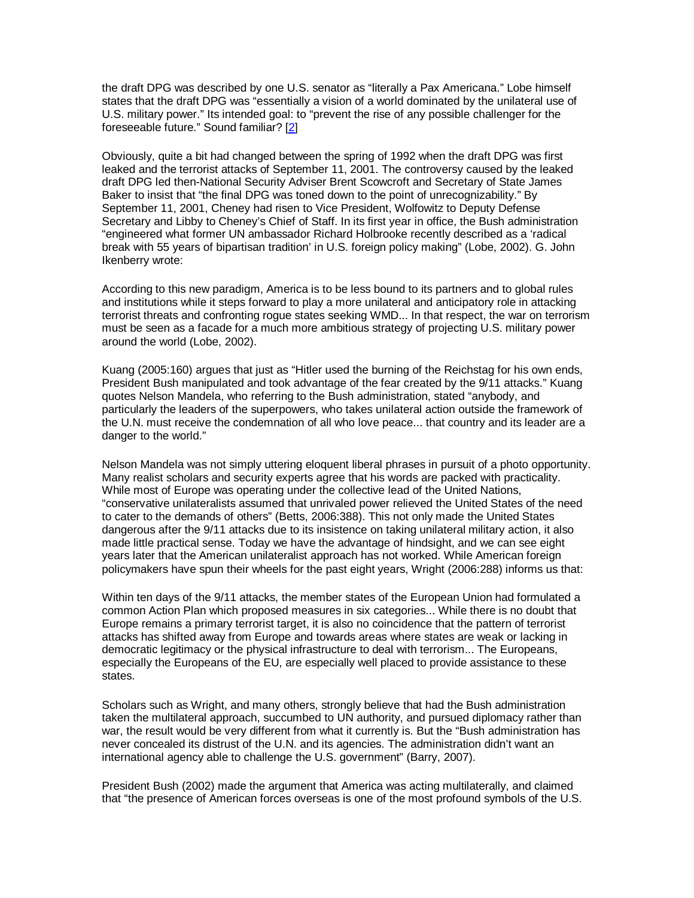the draft DPG was described by one U.S. senator as "literally a Pax Americana." Lobe himself states that the draft DPG was "essentially a vision of a world dominated by the unilateral use of U.S. military power." Its intended goal: to "prevent the rise of any possible challenger for the foreseeable future." Sound familiar? [2]

Obviously, quite a bit had changed between the spring of 1992 when the draft DPG was first leaked and the terrorist attacks of September 11, 2001. The controversy caused by the leaked draft DPG led then-National Security Adviser Brent Scowcroft and Secretary of State James Baker to insist that "the final DPG was toned down to the point of unrecognizability." By September 11, 2001, Cheney had risen to Vice President, Wolfowitz to Deputy Defense Secretary and Libby to Cheney's Chief of Staff. In its first year in office, the Bush administration "engineered what former UN ambassador Richard Holbrooke recently described as a 'radical break with 55 years of bipartisan tradition' in U.S. foreign policy making" (Lobe, 2002). G. John Ikenberry wrote:

According to this new paradigm, America is to be less bound to its partners and to global rules and institutions while it steps forward to play a more unilateral and anticipatory role in attacking terrorist threats and confronting rogue states seeking WMD... In that respect, the war on terrorism must be seen as a facade for a much more ambitious strategy of projecting U.S. military power around the world (Lobe, 2002).

Kuang (2005:160) argues that just as "Hitler used the burning of the Reichstag for his own ends, President Bush manipulated and took advantage of the fear created by the 9/11 attacks." Kuang quotes Nelson Mandela, who referring to the Bush administration, stated "anybody, and particularly the leaders of the superpowers, who takes unilateral action outside the framework of the U.N. must receive the condemnation of all who love peace... that country and its leader are a danger to the world."

Nelson Mandela was not simply uttering eloquent liberal phrases in pursuit of a photo opportunity. Many realist scholars and security experts agree that his words are packed with practicality. While most of Europe was operating under the collective lead of the United Nations, "conservative unilateralists assumed that unrivaled power relieved the United States of the need to cater to the demands of others" (Betts, 2006:388). This not only made the United States dangerous after the 9/11 attacks due to its insistence on taking unilateral military action, it also made little practical sense. Today we have the advantage of hindsight, and we can see eight years later that the American unilateralist approach has not worked. While American foreign policymakers have spun their wheels for the past eight years, Wright (2006:288) informs us that:

Within ten days of the 9/11 attacks, the member states of the European Union had formulated a common Action Plan which proposed measures in six categories... While there is no doubt that Europe remains a primary terrorist target, it is also no coincidence that the pattern of terrorist attacks has shifted away from Europe and towards areas where states are weak or lacking in democratic legitimacy or the physical infrastructure to deal with terrorism... The Europeans, especially the Europeans of the EU, are especially well placed to provide assistance to these states.

Scholars such as Wright, and many others, strongly believe that had the Bush administration taken the multilateral approach, succumbed to UN authority, and pursued diplomacy rather than war, the result would be very different from what it currently is. But the "Bush administration has never concealed its distrust of the U.N. and its agencies. The administration didn't want an international agency able to challenge the U.S. government" (Barry, 2007).

President Bush (2002) made the argument that America was acting multilaterally, and claimed that "the presence of American forces overseas is one of the most profound symbols of the U.S.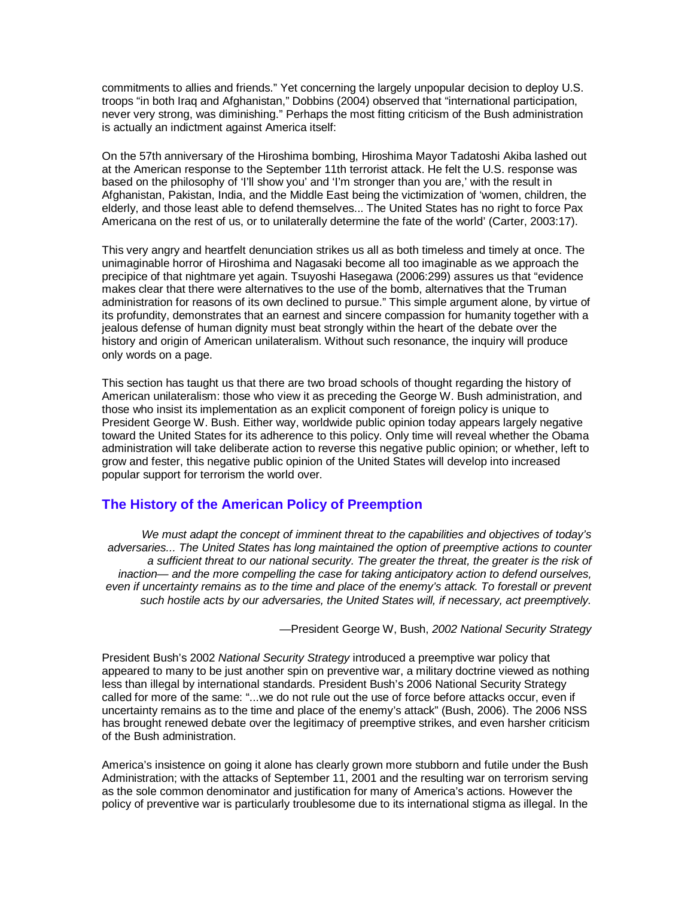commitments to allies and friends." Yet concerning the largely unpopular decision to deploy U.S. troops "in both Iraq and Afghanistan," Dobbins (2004) observed that "international participation, never very strong, was diminishing." Perhaps the most fitting criticism of the Bush administration is actually an indictment against America itself:

On the 57th anniversary of the Hiroshima bombing, Hiroshima Mayor Tadatoshi Akiba lashed out at the American response to the September 11th terrorist attack. He felt the U.S. response was based on the philosophy of 'I'll show you' and 'I'm stronger than you are,' with the result in Afghanistan, Pakistan, India, and the Middle East being the victimization of 'women, children, the elderly, and those least able to defend themselves... The United States has no right to force Pax Americana on the rest of us, or to unilaterally determine the fate of the world' (Carter, 2003:17).

This very angry and heartfelt denunciation strikes us all as both timeless and timely at once. The unimaginable horror of Hiroshima and Nagasaki become all too imaginable as we approach the precipice of that nightmare yet again. Tsuyoshi Hasegawa (2006:299) assures us that "evidence makes clear that there were alternatives to the use of the bomb, alternatives that the Truman administration for reasons of its own declined to pursue." This simple argument alone, by virtue of its profundity, demonstrates that an earnest and sincere compassion for humanity together with a jealous defense of human dignity must beat strongly within the heart of the debate over the history and origin of American unilateralism. Without such resonance, the inquiry will produce only words on a page.

This section has taught us that there are two broad schools of thought regarding the history of American unilateralism: those who view it as preceding the George W. Bush administration, and those who insist its implementation as an explicit component of foreign policy is unique to President George W. Bush. Either way, worldwide public opinion today appears largely negative toward the United States for its adherence to this policy. Only time will reveal whether the Obama administration will take deliberate action to reverse this negative public opinion; or whether, left to grow and fester, this negative public opinion of the United States will develop into increased popular support for terrorism the world over.

## **The History of the American Policy of Preemption**

We must adapt the concept of imminent threat to the capabilities and objectives of today's adversaries... The United States has long maintained the option of preemptive actions to counter a sufficient threat to our national security. The greater the threat, the greater is the risk of inaction— and the more compelling the case for taking anticipatory action to defend ourselves, even if uncertainty remains as to the time and place of the enemy's attack. To forestall or prevent such hostile acts by our adversaries, the United States will, if necessary, act preemptively.

-President George W, Bush, 2002 National Security Strategy

President Bush's 2002 National Security Strategy introduced a preemptive war policy that appeared to many to be just another spin on preventive war, a military doctrine viewed as nothing less than illegal by international standards. President Bush's 2006 National Security Strategy called for more of the same: "...we do not rule out the use of force before attacks occur, even if uncertainty remains as to the time and place of the enemy's attack" (Bush, 2006). The 2006 NSS has brought renewed debate over the legitimacy of preemptive strikes, and even harsher criticism of the Bush administration.

America's insistence on going it alone has clearly grown more stubborn and futile under the Bush Administration; with the attacks of September 11, 2001 and the resulting war on terrorism serving as the sole common denominator and justification for many of America's actions. However the policy of preventive war is particularly troublesome due to its international stigma as illegal. In the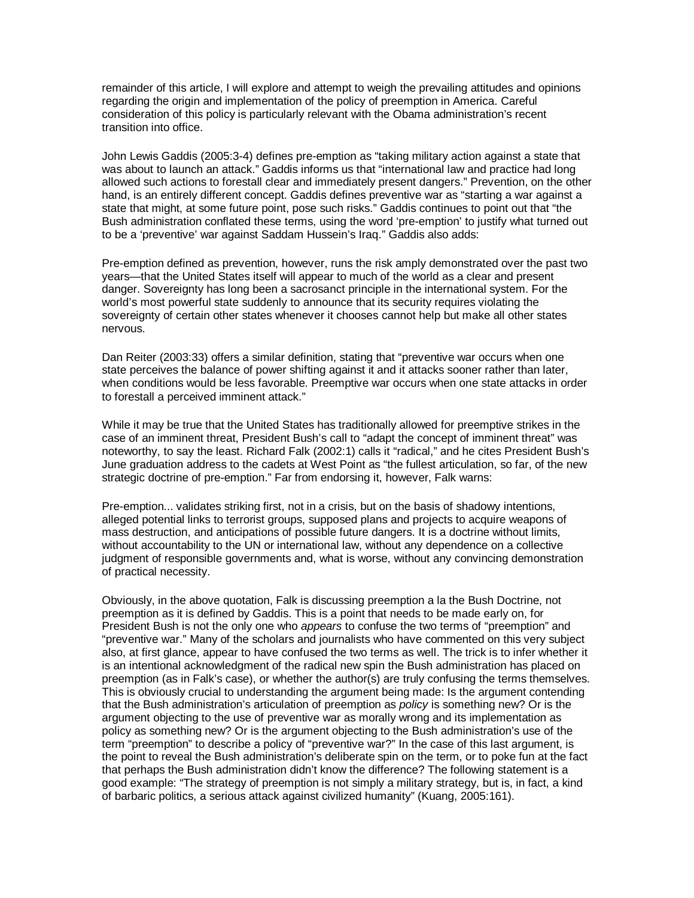remainder of this article, I will explore and attempt to weigh the prevailing attitudes and opinions regarding the origin and implementation of the policy of preemption in America. Careful consideration of this policy is particularly relevant with the Obama administration's recent transition into office.

John Lewis Gaddis (2005:3-4) defines pre-emption as "taking military action against a state that was about to launch an attack." Gaddis informs us that "international law and practice had long allowed such actions to forestall clear and immediately present dangers." Prevention, on the other hand, is an entirely different concept. Gaddis defines preventive war as "starting a war against a state that might, at some future point, pose such risks." Gaddis continues to point out that "the Bush administration conflated these terms, using the word 'pre-emption' to justify what turned out to be a 'preventive' war against Saddam Hussein's Iraq." Gaddis also adds:

Pre-emption defined as prevention, however, runs the risk amply demonstrated over the past two years—that the United States itself will appear to much of the world as a clear and present danger. Sovereignty has long been a sacrosanct principle in the international system. For the world's most powerful state suddenly to announce that its security requires violating the sovereignty of certain other states whenever it chooses cannot help but make all other states nervous.

Dan Reiter (2003:33) offers a similar definition, stating that "preventive war occurs when one state perceives the balance of power shifting against it and it attacks sooner rather than later, when conditions would be less favorable. Preemptive war occurs when one state attacks in order to forestall a perceived imminent attack."

While it may be true that the United States has traditionally allowed for preemptive strikes in the case of an imminent threat, President Bush's call to "adapt the concept of imminent threat" was noteworthy, to say the least. Richard Falk (2002:1) calls it "radical," and he cites President Bush's June graduation address to the cadets at West Point as "the fullest articulation, so far, of the new strategic doctrine of pre-emption." Far from endorsing it, however, Falk warns:

Pre-emption... validates striking first, not in a crisis, but on the basis of shadowy intentions, alleged potential links to terrorist groups, supposed plans and projects to acquire weapons of mass destruction, and anticipations of possible future dangers. It is a doctrine without limits, without accountability to the UN or international law, without any dependence on a collective judgment of responsible governments and, what is worse, without any convincing demonstration of practical necessity.

Obviously, in the above quotation, Falk is discussing preemption a la the Bush Doctrine, not preemption as it is defined by Gaddis. This is a point that needs to be made early on, for President Bush is not the only one who appears to confuse the two terms of "preemption" and "preventive war." Many of the scholars and journalists who have commented on this very subject also, at first glance, appear to have confused the two terms as well. The trick is to infer whether it is an intentional acknowledgment of the radical new spin the Bush administration has placed on preemption (as in Falk's case), or whether the author(s) are truly confusing the terms themselves. This is obviously crucial to understanding the argument being made: Is the argument contending that the Bush administration's articulation of preemption as *policy* is something new? Or is the argument objecting to the use of preventive war as morally wrong and its implementation as policy as something new? Or is the argument objecting to the Bush administration's use of the term "preemption" to describe a policy of "preventive war?" In the case of this last argument, is the point to reveal the Bush administration's deliberate spin on the term, or to poke fun at the fact that perhaps the Bush administration didn't know the difference? The following statement is a good example: "The strategy of preemption is not simply a military strategy, but is, in fact, a kind of barbaric politics, a serious attack against civilized humanity" (Kuang, 2005:161).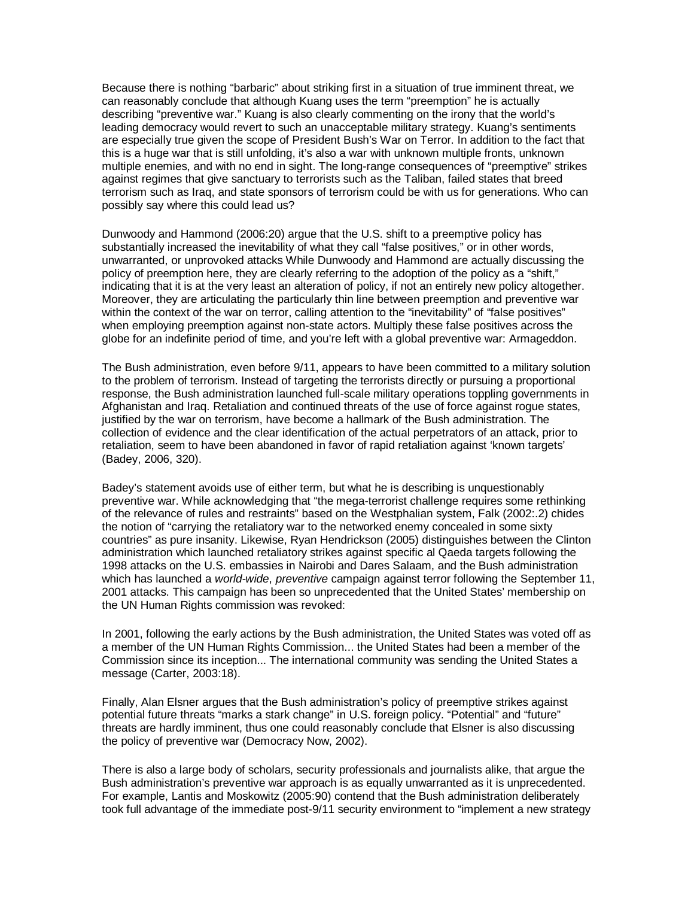Because there is nothing "barbaric" about striking first in a situation of true imminent threat, we can reasonably conclude that although Kuang uses the term "preemption" he is actually describing "preventive war." Kuang is also clearly commenting on the irony that the world's leading democracy would revert to such an unacceptable military strategy. Kuang's sentiments are especially true given the scope of President Bush's War on Terror. In addition to the fact that this is a huge war that is still unfolding, it's also a war with unknown multiple fronts, unknown multiple enemies, and with no end in sight. The long-range consequences of "preemptive" strikes against regimes that give sanctuary to terrorists such as the Taliban, failed states that breed terrorism such as Iraq, and state sponsors of terrorism could be with us for generations. Who can possibly say where this could lead us?

Dunwoody and Hammond (2006:20) argue that the U.S. shift to a preemptive policy has substantially increased the inevitability of what they call "false positives," or in other words, unwarranted, or unprovoked attacks While Dunwoody and Hammond are actually discussing the policy of preemption here, they are clearly referring to the adoption of the policy as a "shift," indicating that it is at the very least an alteration of policy, if not an entirely new policy altogether. Moreover, they are articulating the particularly thin line between preemption and preventive war within the context of the war on terror, calling attention to the "inevitability" of "false positives" when employing preemption against non-state actors. Multiply these false positives across the globe for an indefinite period of time, and you're left with a global preventive war: Armageddon.

The Bush administration, even before 9/11, appears to have been committed to a military solution to the problem of terrorism. Instead of targeting the terrorists directly or pursuing a proportional response, the Bush administration launched full-scale military operations toppling governments in Afghanistan and Iraq. Retaliation and continued threats of the use of force against rogue states, justified by the war on terrorism, have become a hallmark of the Bush administration. The collection of evidence and the clear identification of the actual perpetrators of an attack, prior to retaliation, seem to have been abandoned in favor of rapid retaliation against 'known targets' (Badey, 2006, 320).

Badey's statement avoids use of either term, but what he is describing is unquestionably preventive war. While acknowledging that "the mega-terrorist challenge requires some rethinking of the relevance of rules and restraints" based on the Westphalian system, Falk (2002:.2) chides the notion of "carrying the retaliatory war to the networked enemy concealed in some sixty countries" as pure insanity. Likewise, Ryan Hendrickson (2005) distinguishes between the Clinton administration which launched retaliatory strikes against specific al Qaeda targets following the 1998 attacks on the U.S. embassies in Nairobi and Dares Salaam, and the Bush administration which has launched a world-wide, preventive campaign against terror following the September 11, 2001 attacks. This campaign has been so unprecedented that the United States' membership on the UN Human Rights commission was revoked:

In 2001, following the early actions by the Bush administration, the United States was voted off as a member of the UN Human Rights Commission... the United States had been a member of the Commission since its inception... The international community was sending the United States a message (Carter, 2003:18).

Finally, Alan Elsner argues that the Bush administration's policy of preemptive strikes against potential future threats "marks a stark change" in U.S. foreign policy. "Potential" and "future" threats are hardly imminent, thus one could reasonably conclude that Elsner is also discussing the policy of preventive war (Democracy Now, 2002).

There is also a large body of scholars, security professionals and journalists alike, that argue the Bush administration's preventive war approach is as equally unwarranted as it is unprecedented. For example, Lantis and Moskowitz (2005:90) contend that the Bush administration deliberately took full advantage of the immediate post-9/11 security environment to "implement a new strategy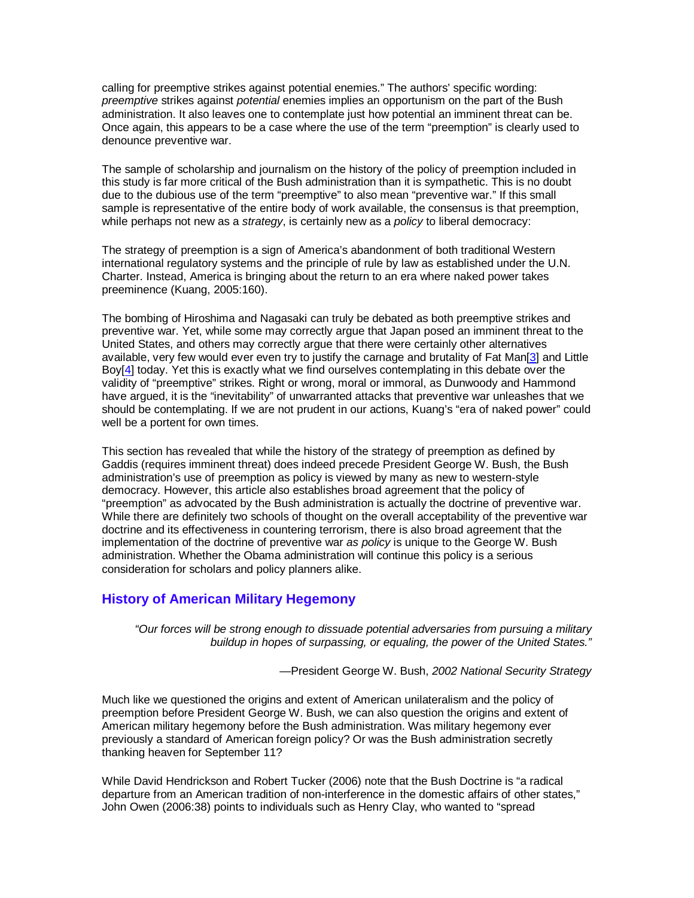calling for preemptive strikes against potential enemies." The authors' specific wording: preemptive strikes against potential enemies implies an opportunism on the part of the Bush administration. It also leaves one to contemplate just how potential an imminent threat can be. Once again, this appears to be a case where the use of the term "preemption" is clearly used to denounce preventive war.

The sample of scholarship and journalism on the history of the policy of preemption included in this study is far more critical of the Bush administration than it is sympathetic. This is no doubt due to the dubious use of the term "preemptive" to also mean "preventive war." If this small sample is representative of the entire body of work available, the consensus is that preemption, while perhaps not new as a *strategy*, is certainly new as a *policy* to liberal democracy:

The strategy of preemption is a sign of America's abandonment of both traditional Western international regulatory systems and the principle of rule by law as established under the U.N. Charter. Instead, America is bringing about the return to an era where naked power takes preeminence (Kuang, 2005:160).

The bombing of Hiroshima and Nagasaki can truly be debated as both preemptive strikes and preventive war. Yet, while some may correctly argue that Japan posed an imminent threat to the United States, and others may correctly argue that there were certainly other alternatives available, very few would ever even try to justify the carnage and brutality of Fat Man[3] and Little Boy[4] today. Yet this is exactly what we find ourselves contemplating in this debate over the validity of "preemptive" strikes. Right or wrong, moral or immoral, as Dunwoody and Hammond have argued, it is the "inevitability" of unwarranted attacks that preventive war unleashes that we should be contemplating. If we are not prudent in our actions, Kuang's "era of naked power" could well be a portent for own times.

This section has revealed that while the history of the strategy of preemption as defined by Gaddis (requires imminent threat) does indeed precede President George W. Bush, the Bush administration's use of preemption as policy is viewed by many as new to western-style democracy. However, this article also establishes broad agreement that the policy of "preemption" as advocated by the Bush administration is actually the doctrine of preventive war. While there are definitely two schools of thought on the overall acceptability of the preventive war doctrine and its effectiveness in countering terrorism, there is also broad agreement that the implementation of the doctrine of preventive war as policy is unique to the George W. Bush administration. Whether the Obama administration will continue this policy is a serious consideration for scholars and policy planners alike.

## **History of American Military Hegemony**

"Our forces will be strong enough to dissuade potential adversaries from pursuing a military buildup in hopes of surpassing, or equaling, the power of the United States."

—President George W. Bush, 2002 National Security Strategy

Much like we questioned the origins and extent of American unilateralism and the policy of preemption before President George W. Bush, we can also question the origins and extent of American military hegemony before the Bush administration. Was military hegemony ever previously a standard of American foreign policy? Or was the Bush administration secretly thanking heaven for September 11?

While David Hendrickson and Robert Tucker (2006) note that the Bush Doctrine is "a radical departure from an American tradition of non-interference in the domestic affairs of other states," John Owen (2006:38) points to individuals such as Henry Clay, who wanted to "spread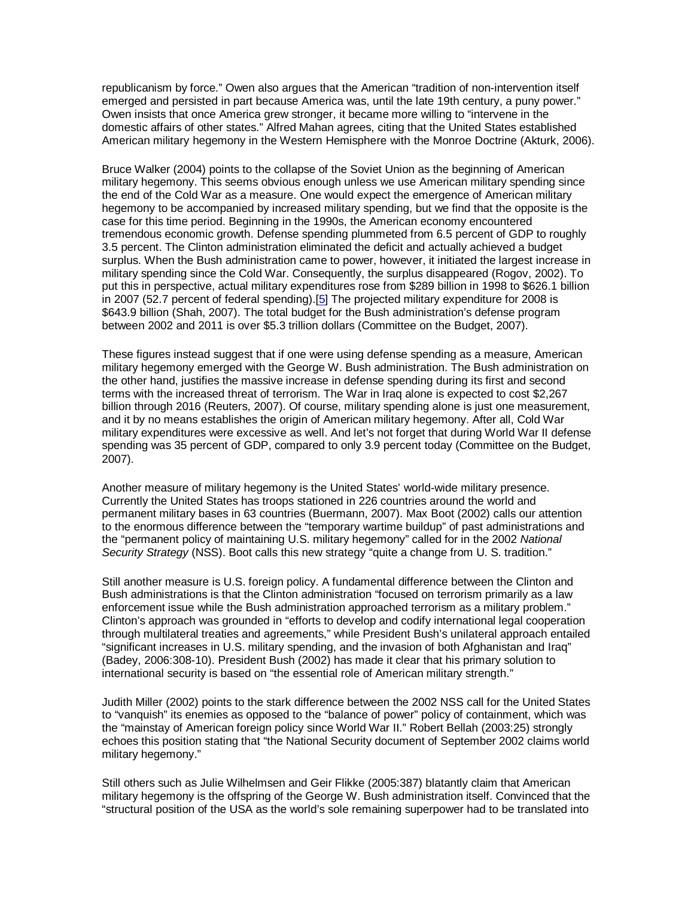republicanism by force." Owen also argues that the American "tradition of non-intervention itself emerged and persisted in part because America was, until the late 19th century, a puny power." Owen insists that once America grew stronger, it became more willing to "intervene in the domestic affairs of other states." Alfred Mahan agrees, citing that the United States established American military hegemony in the Western Hemisphere with the Monroe Doctrine (Akturk, 2006).

Bruce Walker (2004) points to the collapse of the Soviet Union as the beginning of American military hegemony. This seems obvious enough unless we use American military spending since the end of the Cold War as a measure. One would expect the emergence of American military hegemony to be accompanied by increased military spending, but we find that the opposite is the case for this time period. Beginning in the 1990s, the American economy encountered tremendous economic growth. Defense spending plummeted from 6.5 percent of GDP to roughly 3.5 percent. The Clinton administration eliminated the deficit and actually achieved a budget surplus. When the Bush administration came to power, however, it initiated the largest increase in military spending since the Cold War. Consequently, the surplus disappeared (Rogov, 2002). To put this in perspective, actual military expenditures rose from \$289 billion in 1998 to \$626.1 billion in 2007 (52.7 percent of federal spending).<sup>[5]</sup> The projected military expenditure for 2008 is \$643.9 billion (Shah, 2007). The total budget for the Bush administration's defense program between 2002 and 2011 is over \$5.3 trillion dollars (Committee on the Budget, 2007).

These figures instead suggest that if one were using defense spending as a measure, American military hegemony emerged with the George W. Bush administration. The Bush administration on the other hand, justifies the massive increase in defense spending during its first and second terms with the increased threat of terrorism. The War in Iraq alone is expected to cost \$2,267 billion through 2016 (Reuters, 2007). Of course, military spending alone is just one measurement, and it by no means establishes the origin of American military hegemony. After all, Cold War military expenditures were excessive as well. And let's not forget that during World War II defense spending was 35 percent of GDP, compared to only 3.9 percent today (Committee on the Budget, 2007).

Another measure of military hegemony is the United States' world-wide military presence. Currently the United States has troops stationed in 226 countries around the world and permanent military bases in 63 countries (Buermann, 2007). Max Boot (2002) calls our attention to the enormous difference between the "temporary wartime buildup" of past administrations and the "permanent policy of maintaining U.S. military hegemony" called for in the 2002 National Security Strategy (NSS). Boot calls this new strategy "quite a change from U. S. tradition."

Still another measure is U.S. foreign policy. A fundamental difference between the Clinton and Bush administrations is that the Clinton administration "focused on terrorism primarily as a law enforcement issue while the Bush administration approached terrorism as a military problem." Clinton's approach was grounded in "efforts to develop and codify international legal cooperation through multilateral treaties and agreements," while President Bush's unilateral approach entailed "significant increases in U.S. military spending, and the invasion of both Afghanistan and Iraq" (Badey, 2006:308-10). President Bush (2002) has made it clear that his primary solution to international security is based on "the essential role of American military strength."

Judith Miller (2002) points to the stark difference between the 2002 NSS call for the United States to "vanquish" its enemies as opposed to the "balance of power" policy of containment, which was the "mainstay of American foreign policy since World War II." Robert Bellah (2003:25) strongly echoes this position stating that "the National Security document of September 2002 claims world military hegemony."

Still others such as Julie Wilhelmsen and Geir Flikke (2005:387) blatantly claim that American military hegemony is the offspring of the George W. Bush administration itself. Convinced that the "structural position of the USA as the world's sole remaining superpower had to be translated into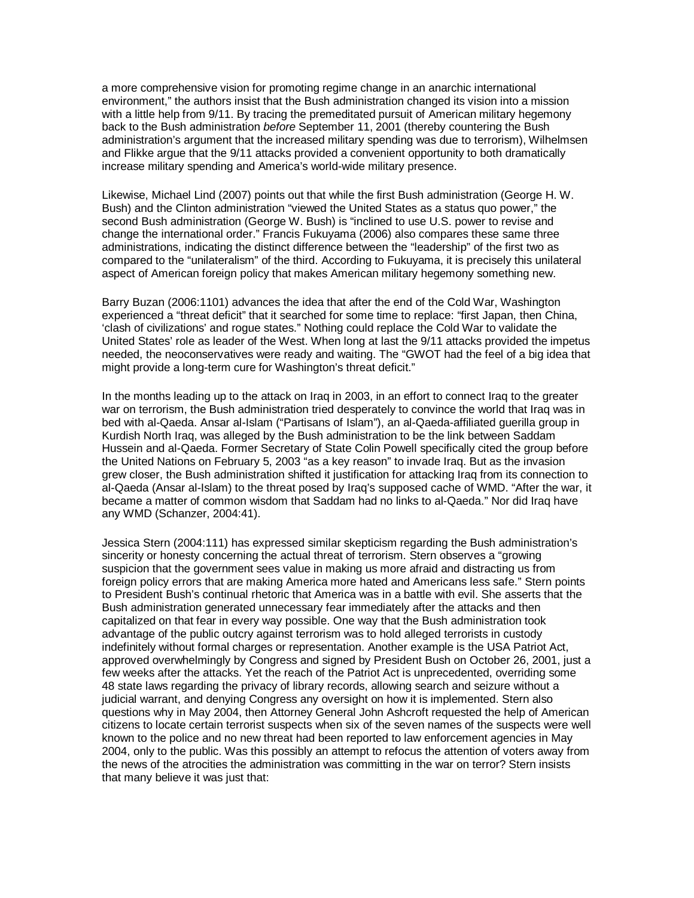a more comprehensive vision for promoting regime change in an anarchic international environment," the authors insist that the Bush administration changed its vision into a mission with a little help from 9/11. By tracing the premeditated pursuit of American military hegemony back to the Bush administration before September 11, 2001 (thereby countering the Bush administration's argument that the increased military spending was due to terrorism), Wilhelmsen and Flikke argue that the 9/11 attacks provided a convenient opportunity to both dramatically increase military spending and America's world-wide military presence.

Likewise, Michael Lind (2007) points out that while the first Bush administration (George H. W. Bush) and the Clinton administration "viewed the United States as a status quo power," the second Bush administration (George W. Bush) is "inclined to use U.S. power to revise and change the international order." Francis Fukuyama (2006) also compares these same three administrations, indicating the distinct difference between the "leadership" of the first two as compared to the "unilateralism" of the third. According to Fukuyama, it is precisely this unilateral aspect of American foreign policy that makes American military hegemony something new.

Barry Buzan (2006:1101) advances the idea that after the end of the Cold War, Washington experienced a "threat deficit" that it searched for some time to replace: "first Japan, then China, 'clash of civilizations' and rogue states." Nothing could replace the Cold War to validate the United States' role as leader of the West. When long at last the 9/11 attacks provided the impetus needed, the neoconservatives were ready and waiting. The "GWOT had the feel of a big idea that might provide a long-term cure for Washington's threat deficit."

In the months leading up to the attack on Iraq in 2003, in an effort to connect Iraq to the greater war on terrorism, the Bush administration tried desperately to convince the world that Iraq was in bed with al-Qaeda. Ansar al-Islam ("Partisans of Islam"), an al-Qaeda-affiliated guerilla group in Kurdish North Iraq, was alleged by the Bush administration to be the link between Saddam Hussein and al-Qaeda. Former Secretary of State Colin Powell specifically cited the group before the United Nations on February 5, 2003 "as a key reason" to invade Iraq. But as the invasion grew closer, the Bush administration shifted it justification for attacking Iraq from its connection to al-Qaeda (Ansar al-Islam) to the threat posed by Iraq's supposed cache of WMD. "After the war, it became a matter of common wisdom that Saddam had no links to al-Qaeda." Nor did Iraq have any WMD (Schanzer, 2004:41).

Jessica Stern (2004:111) has expressed similar skepticism regarding the Bush administration's sincerity or honesty concerning the actual threat of terrorism. Stern observes a "growing suspicion that the government sees value in making us more afraid and distracting us from foreign policy errors that are making America more hated and Americans less safe." Stern points to President Bush's continual rhetoric that America was in a battle with evil. She asserts that the Bush administration generated unnecessary fear immediately after the attacks and then capitalized on that fear in every way possible. One way that the Bush administration took advantage of the public outcry against terrorism was to hold alleged terrorists in custody indefinitely without formal charges or representation. Another example is the USA Patriot Act, approved overwhelmingly by Congress and signed by President Bush on October 26, 2001, just a few weeks after the attacks. Yet the reach of the Patriot Act is unprecedented, overriding some 48 state laws regarding the privacy of library records, allowing search and seizure without a judicial warrant, and denying Congress any oversight on how it is implemented. Stern also questions why in May 2004, then Attorney General John Ashcroft requested the help of American citizens to locate certain terrorist suspects when six of the seven names of the suspects were well known to the police and no new threat had been reported to law enforcement agencies in May 2004, only to the public. Was this possibly an attempt to refocus the attention of voters away from the news of the atrocities the administration was committing in the war on terror? Stern insists that many believe it was just that: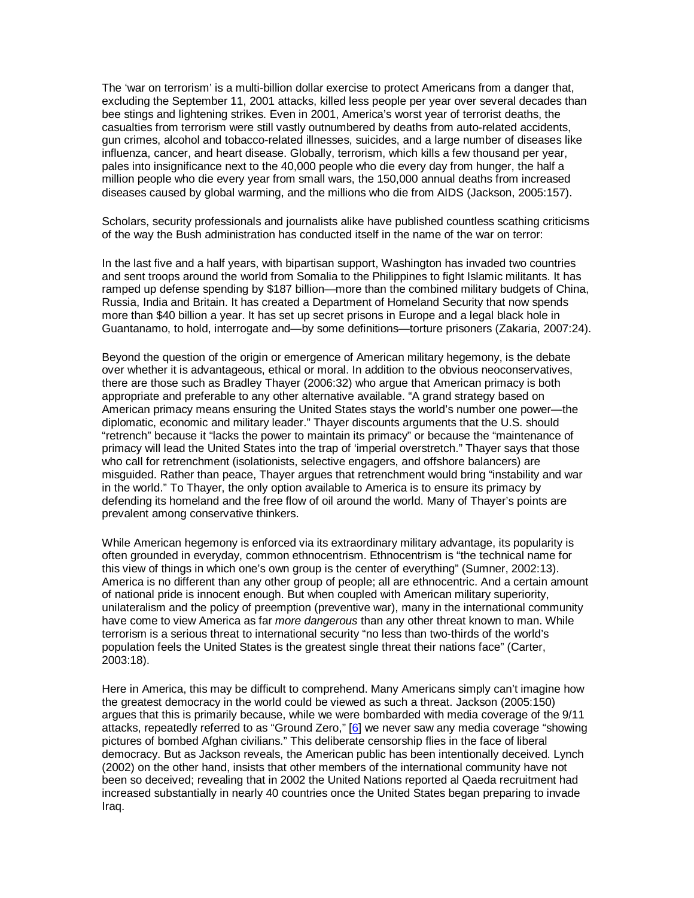The 'war on terrorism' is a multi-billion dollar exercise to protect Americans from a danger that, excluding the September 11, 2001 attacks, killed less people per year over several decades than bee stings and lightening strikes. Even in 2001, America's worst year of terrorist deaths, the casualties from terrorism were still vastly outnumbered by deaths from auto-related accidents, gun crimes, alcohol and tobacco-related illnesses, suicides, and a large number of diseases like influenza, cancer, and heart disease. Globally, terrorism, which kills a few thousand per year, pales into insignificance next to the 40,000 people who die every day from hunger, the half a million people who die every year from small wars, the 150,000 annual deaths from increased diseases caused by global warming, and the millions who die from AIDS (Jackson, 2005:157).

Scholars, security professionals and journalists alike have published countless scathing criticisms of the way the Bush administration has conducted itself in the name of the war on terror:

In the last five and a half years, with bipartisan support, Washington has invaded two countries and sent troops around the world from Somalia to the Philippines to fight Islamic militants. It has ramped up defense spending by \$187 billion—more than the combined military budgets of China, Russia, India and Britain. It has created a Department of Homeland Security that now spends more than \$40 billion a year. It has set up secret prisons in Europe and a legal black hole in Guantanamo, to hold, interrogate and—by some definitions—torture prisoners (Zakaria, 2007:24).

Beyond the question of the origin or emergence of American military hegemony, is the debate over whether it is advantageous, ethical or moral. In addition to the obvious neoconservatives, there are those such as Bradley Thayer (2006:32) who argue that American primacy is both appropriate and preferable to any other alternative available. "A grand strategy based on American primacy means ensuring the United States stays the world's number one power—the diplomatic, economic and military leader." Thayer discounts arguments that the U.S. should "retrench" because it "lacks the power to maintain its primacy" or because the "maintenance of primacy will lead the United States into the trap of 'imperial overstretch." Thayer says that those who call for retrenchment (isolationists, selective engagers, and offshore balancers) are misguided. Rather than peace, Thayer argues that retrenchment would bring "instability and war in the world." To Thayer, the only option available to America is to ensure its primacy by defending its homeland and the free flow of oil around the world. Many of Thayer's points are prevalent among conservative thinkers.

While American hegemony is enforced via its extraordinary military advantage, its popularity is often grounded in everyday, common ethnocentrism. Ethnocentrism is "the technical name for this view of things in which one's own group is the center of everything" (Sumner, 2002:13). America is no different than any other group of people; all are ethnocentric. And a certain amount of national pride is innocent enough. But when coupled with American military superiority, unilateralism and the policy of preemption (preventive war), many in the international community have come to view America as far *more dangerous* than any other threat known to man. While terrorism is a serious threat to international security "no less than two-thirds of the world's population feels the United States is the greatest single threat their nations face" (Carter, 2003:18).

Here in America, this may be difficult to comprehend. Many Americans simply can't imagine how the greatest democracy in the world could be viewed as such a threat. Jackson (2005:150) argues that this is primarily because, while we were bombarded with media coverage of the 9/11 attacks, repeatedly referred to as "Ground Zero," [6] we never saw any media coverage "showing pictures of bombed Afghan civilians." This deliberate censorship flies in the face of liberal democracy. But as Jackson reveals, the American public has been intentionally deceived. Lynch (2002) on the other hand, insists that other members of the international community have not been so deceived; revealing that in 2002 the United Nations reported al Qaeda recruitment had increased substantially in nearly 40 countries once the United States began preparing to invade Iraq.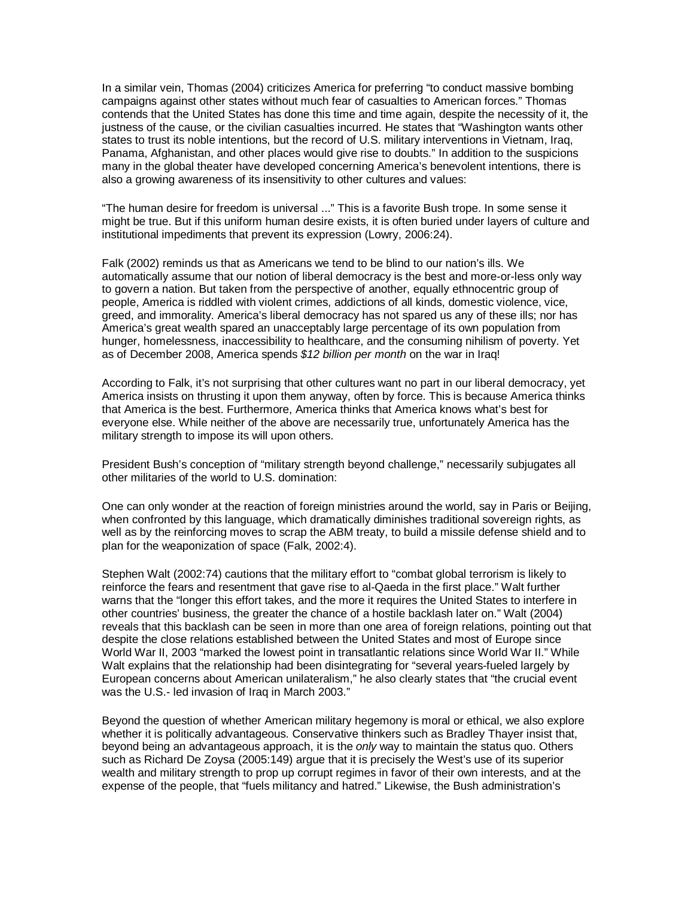In a similar vein, Thomas (2004) criticizes America for preferring "to conduct massive bombing campaigns against other states without much fear of casualties to American forces." Thomas contends that the United States has done this time and time again, despite the necessity of it, the justness of the cause, or the civilian casualties incurred. He states that "Washington wants other states to trust its noble intentions, but the record of U.S. military interventions in Vietnam, Iraq, Panama, Afghanistan, and other places would give rise to doubts." In addition to the suspicions many in the global theater have developed concerning America's benevolent intentions, there is also a growing awareness of its insensitivity to other cultures and values:

"The human desire for freedom is universal ..." This is a favorite Bush trope. In some sense it might be true. But if this uniform human desire exists, it is often buried under layers of culture and institutional impediments that prevent its expression (Lowry, 2006:24).

Falk (2002) reminds us that as Americans we tend to be blind to our nation's ills. We automatically assume that our notion of liberal democracy is the best and more-or-less only way to govern a nation. But taken from the perspective of another, equally ethnocentric group of people, America is riddled with violent crimes, addictions of all kinds, domestic violence, vice, greed, and immorality. America's liberal democracy has not spared us any of these ills; nor has America's great wealth spared an unacceptably large percentage of its own population from hunger, homelessness, inaccessibility to healthcare, and the consuming nihilism of poverty. Yet as of December 2008, America spends \$12 billion per month on the war in Iraq!

According to Falk, it's not surprising that other cultures want no part in our liberal democracy, yet America insists on thrusting it upon them anyway, often by force. This is because America thinks that America is the best. Furthermore, America thinks that America knows what's best for everyone else. While neither of the above are necessarily true, unfortunately America has the military strength to impose its will upon others.

President Bush's conception of "military strength beyond challenge," necessarily subjugates all other militaries of the world to U.S. domination:

One can only wonder at the reaction of foreign ministries around the world, say in Paris or Beijing, when confronted by this language, which dramatically diminishes traditional sovereign rights, as well as by the reinforcing moves to scrap the ABM treaty, to build a missile defense shield and to plan for the weaponization of space (Falk, 2002:4).

Stephen Walt (2002:74) cautions that the military effort to "combat global terrorism is likely to reinforce the fears and resentment that gave rise to al-Qaeda in the first place." Walt further warns that the "longer this effort takes, and the more it requires the United States to interfere in other countries' business, the greater the chance of a hostile backlash later on." Walt (2004) reveals that this backlash can be seen in more than one area of foreign relations, pointing out that despite the close relations established between the United States and most of Europe since World War II, 2003 "marked the lowest point in transatlantic relations since World War II." While Walt explains that the relationship had been disintegrating for "several years-fueled largely by European concerns about American unilateralism," he also clearly states that "the crucial event was the U.S.- led invasion of Iraq in March 2003."

Beyond the question of whether American military hegemony is moral or ethical, we also explore whether it is politically advantageous. Conservative thinkers such as Bradley Thayer insist that, beyond being an advantageous approach, it is the *only* way to maintain the status quo. Others such as Richard De Zoysa (2005:149) argue that it is precisely the West's use of its superior wealth and military strength to prop up corrupt regimes in favor of their own interests, and at the expense of the people, that "fuels militancy and hatred." Likewise, the Bush administration's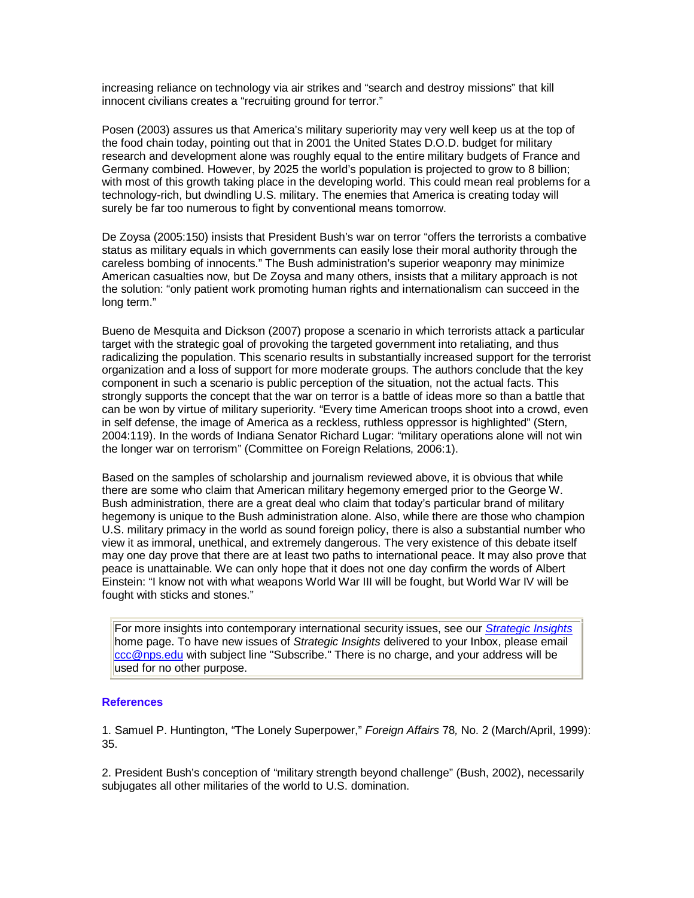increasing reliance on technology via air strikes and "search and destroy missions" that kill innocent civilians creates a "recruiting ground for terror."

Posen (2003) assures us that America's military superiority may very well keep us at the top of the food chain today, pointing out that in 2001 the United States D.O.D. budget for military research and development alone was roughly equal to the entire military budgets of France and Germany combined. However, by 2025 the world's population is projected to grow to 8 billion; with most of this growth taking place in the developing world. This could mean real problems for a technology-rich, but dwindling U.S. military. The enemies that America is creating today will surely be far too numerous to fight by conventional means tomorrow.

De Zoysa (2005:150) insists that President Bush's war on terror "offers the terrorists a combative status as military equals in which governments can easily lose their moral authority through the careless bombing of innocents." The Bush administration's superior weaponry may minimize American casualties now, but De Zoysa and many others, insists that a military approach is not the solution: "only patient work promoting human rights and internationalism can succeed in the long term."

Bueno de Mesquita and Dickson (2007) propose a scenario in which terrorists attack a particular target with the strategic goal of provoking the targeted government into retaliating, and thus radicalizing the population. This scenario results in substantially increased support for the terrorist organization and a loss of support for more moderate groups. The authors conclude that the key component in such a scenario is public perception of the situation, not the actual facts. This strongly supports the concept that the war on terror is a battle of ideas more so than a battle that can be won by virtue of military superiority. "Every time American troops shoot into a crowd, even in self defense, the image of America as a reckless, ruthless oppressor is highlighted" (Stern, 2004:119). In the words of Indiana Senator Richard Lugar: "military operations alone will not win the longer war on terrorism" (Committee on Foreign Relations, 2006:1).

Based on the samples of scholarship and journalism reviewed above, it is obvious that while there are some who claim that American military hegemony emerged prior to the George W. Bush administration, there are a great deal who claim that today's particular brand of military hegemony is unique to the Bush administration alone. Also, while there are those who champion U.S. military primacy in the world as sound foreign policy, there is also a substantial number who view it as immoral, unethical, and extremely dangerous. The very existence of this debate itself may one day prove that there are at least two paths to international peace. It may also prove that peace is unattainable. We can only hope that it does not one day confirm the words of Albert Einstein: "I know not with what weapons World War III will be fought, but World War IV will be fought with sticks and stones."

For more insights into contemporary international security issues, see our *Strategic Insights* home page. To have new issues of Strategic Insights delivered to your Inbox, please email ccc@nps.edu with subject line "Subscribe." There is no charge, and your address will be used for no other purpose.

#### **References**

1. Samuel P. Huntington, "The Lonely Superpower," Foreign Affairs 78, No. 2 (March/April, 1999): 35.

2. President Bush's conception of "military strength beyond challenge" (Bush, 2002), necessarily subjugates all other militaries of the world to U.S. domination.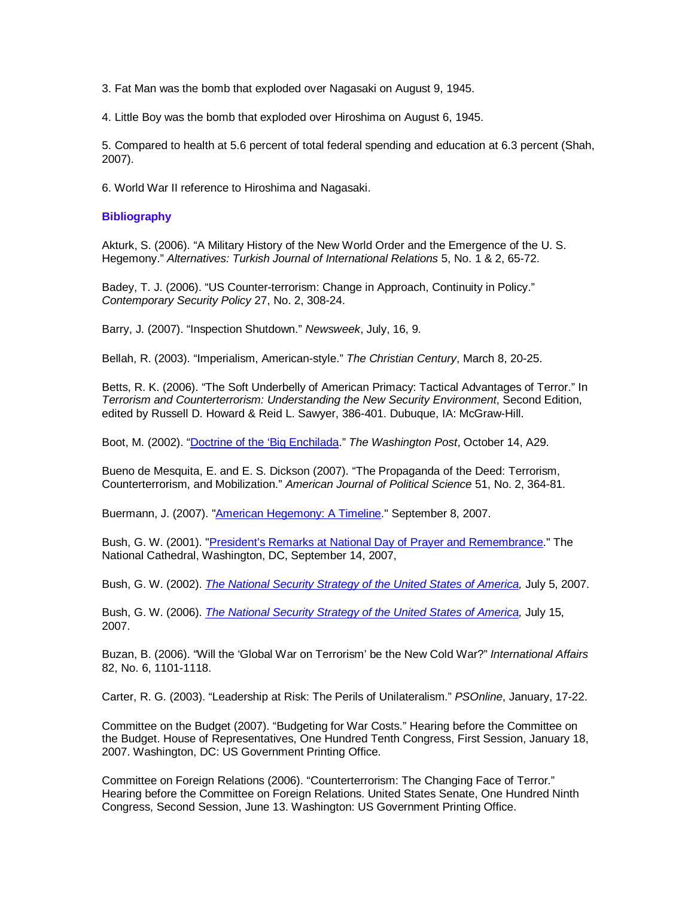3. Fat Man was the bomb that exploded over Nagasaki on August 9, 1945.

4. Little Boy was the bomb that exploded over Hiroshima on August 6, 1945.

5. Compared to health at 5.6 percent of total federal spending and education at 6.3 percent (Shah, 2007).

6. World War II reference to Hiroshima and Nagasaki.

#### **Bibliography**

Akturk, S. (2006). "A Military History of the New World Order and the Emergence of the U. S. Hegemony." Alternatives: Turkish Journal of International Relations 5, No. 1 & 2, 65-72.

Badey, T. J. (2006). "US Counter-terrorism: Change in Approach, Continuity in Policy." Contemporary Security Policy 27, No. 2, 308-24.

Barry, J. (2007). "Inspection Shutdown." Newsweek, July, 16, 9.

Bellah, R. (2003). "Imperialism, American-style." The Christian Century, March 8, 20-25.

Betts, R. K. (2006). "The Soft Underbelly of American Primacy: Tactical Advantages of Terror." In Terrorism and Counterterrorism: Understanding the New Security Environment, Second Edition, edited by Russell D. Howard & Reid L. Sawyer, 386-401. Dubuque, IA: McGraw-Hill.

Boot, M. (2002). "Doctrine of the 'Big Enchilada." The Washington Post, October 14, A29.

Bueno de Mesquita, E. and E. S. Dickson (2007). "The Propaganda of the Deed: Terrorism, Counterterrorism, and Mobilization." American Journal of Political Science 51, No. 2, 364-81.

Buermann, J. (2007). "American Hegemony: A Timeline." September 8, 2007.

Bush, G. W. (2001). "President's Remarks at National Day of Prayer and Remembrance." The National Cathedral, Washington, DC, September 14, 2007,

Bush, G. W. (2002). The National Security Strategy of the United States of America, July 5, 2007.

Bush, G. W. (2006). The National Security Strategy of the United States of America, July 15, 2007.

Buzan, B. (2006). "Will the 'Global War on Terrorism' be the New Cold War?" International Affairs 82, No. 6, 1101-1118.

Carter, R. G. (2003). "Leadership at Risk: The Perils of Unilateralism." PSOnline, January, 17-22.

Committee on the Budget (2007). "Budgeting for War Costs." Hearing before the Committee on the Budget. House of Representatives, One Hundred Tenth Congress, First Session, January 18, 2007. Washington, DC: US Government Printing Office.

Committee on Foreign Relations (2006). "Counterterrorism: The Changing Face of Terror." Hearing before the Committee on Foreign Relations. United States Senate, One Hundred Ninth Congress, Second Session, June 13. Washington: US Government Printing Office.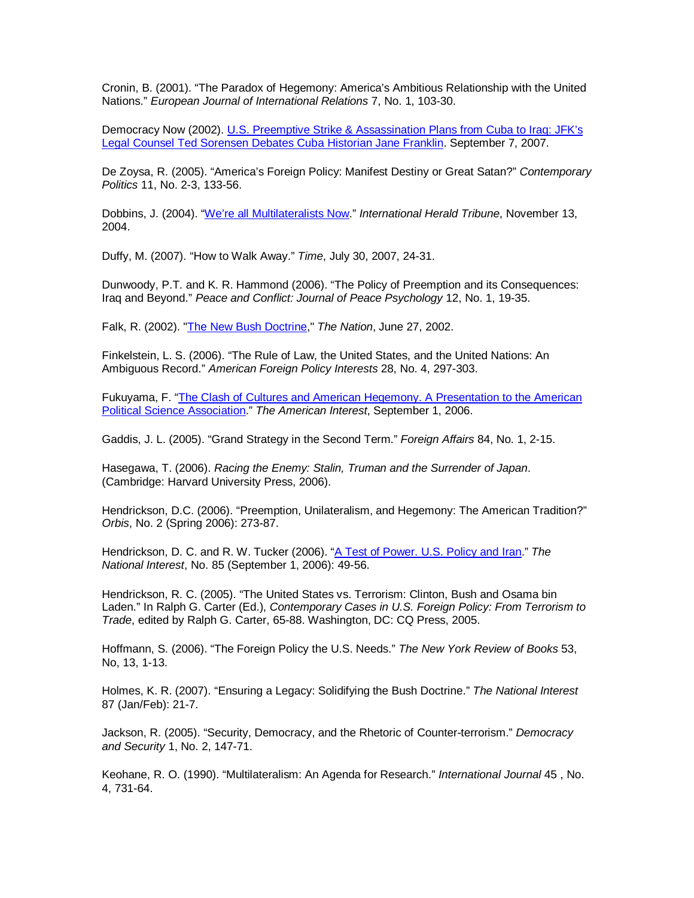Cronin, B. (2001). "The Paradox of Hegemony: America's Ambitious Relationship with the United Nations." European Journal of International Relations 7, No. 1, 103-30.

Democracy Now (2002). U.S. Preemptive Strike & Assassination Plans from Cuba to Iraq: JFK's Legal Counsel Ted Sorensen Debates Cuba Historian Jane Franklin. September 7, 2007.

De Zoysa, R. (2005). "America's Foreign Policy: Manifest Destiny or Great Satan?" Contemporary Politics 11, No. 2-3, 133-56.

Dobbins, J. (2004). "We're all Multilateralists Now." International Herald Tribune, November 13, 2004.

Duffy, M. (2007). "How to Walk Away." Time, July 30, 2007, 24-31.

Dunwoody, P.T. and K. R. Hammond (2006). "The Policy of Preemption and its Consequences: Iraq and Beyond." Peace and Conflict: Journal of Peace Psychology 12, No. 1, 19-35.

Falk, R. (2002). "The New Bush Doctrine," The Nation, June 27, 2002.

Finkelstein, L. S. (2006). "The Rule of Law, the United States, and the United Nations: An Ambiguous Record." American Foreign Policy Interests 28, No. 4, 297-303.

Fukuyama, F. "The Clash of Cultures and American Hegemony. A Presentation to the American Political Science Association." The American Interest, September 1, 2006.

Gaddis, J. L. (2005). "Grand Strategy in the Second Term." *Foreign Affairs* 84, No. 1, 2-15.

Hasegawa, T. (2006). Racing the Enemy: Stalin, Truman and the Surrender of Japan. (Cambridge: Harvard University Press, 2006).

Hendrickson, D.C. (2006). "Preemption, Unilateralism, and Hegemony: The American Tradition?" Orbis, No. 2 (Spring 2006): 273-87.

Hendrickson, D. C. and R. W. Tucker (2006). "A Test of Power. U.S. Policy and Iran." The National Interest, No. 85 (September 1, 2006): 49-56.

Hendrickson, R. C. (2005). "The United States vs. Terrorism: Clinton, Bush and Osama bin Laden." In Ralph G. Carter (Ed.), Contemporary Cases in U.S. Foreign Policy: From Terrorism to Trade, edited by Ralph G. Carter, 65-88. Washington, DC: CQ Press, 2005.

Hoffmann, S. (2006). "The Foreign Policy the U.S. Needs." The New York Review of Books 53, No, 13, 1-13.

Holmes, K. R. (2007). "Ensuring a Legacy: Solidifying the Bush Doctrine." The National Interest 87 (Jan/Feb): 21-7.

Jackson, R. (2005). "Security, Democracy, and the Rhetoric of Counter-terrorism." Democracy and Security 1, No. 2, 147-71.

Keohane, R. O. (1990). "Multilateralism: An Agenda for Research." International Journal 45 , No. 4, 731-64.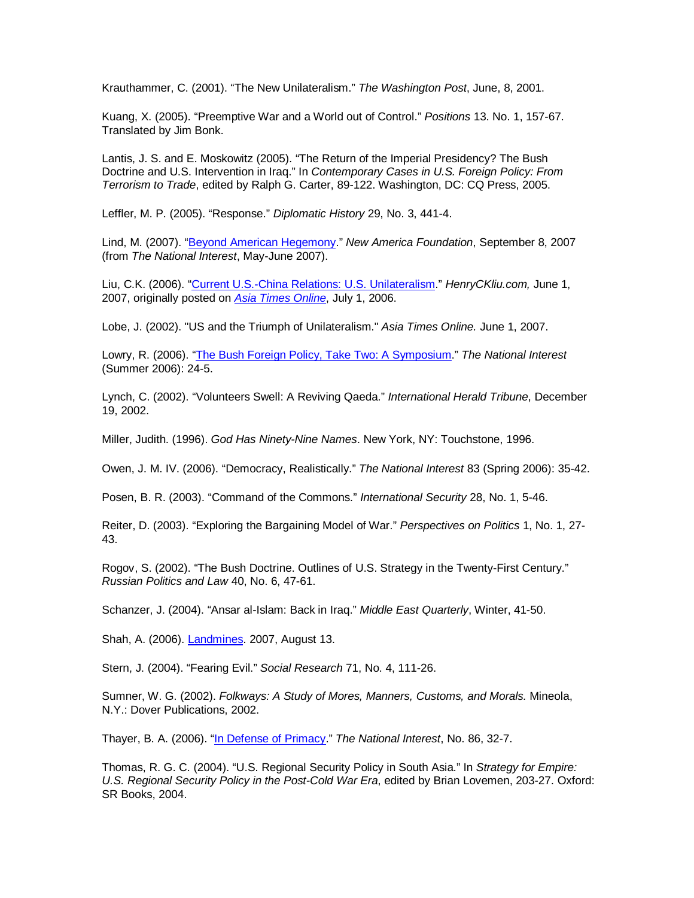Krauthammer, C. (2001). "The New Unilateralism." The Washington Post, June, 8, 2001.

Kuang, X. (2005). "Preemptive War and a World out of Control." Positions 13. No. 1, 157-67. Translated by Jim Bonk.

Lantis, J. S. and E. Moskowitz (2005). "The Return of the Imperial Presidency? The Bush Doctrine and U.S. Intervention in Iraq." In Contemporary Cases in U.S. Foreign Policy: From Terrorism to Trade, edited by Ralph G. Carter, 89-122. Washington, DC: CQ Press, 2005.

Leffler, M. P. (2005). "Response." Diplomatic History 29, No. 3, 441-4.

Lind, M. (2007). "Beyond American Hegemony." New America Foundation, September 8, 2007 (from The National Interest, May-June 2007).

Liu, C.K. (2006). "Current U.S.-China Relations: U.S. Unilateralism." HenryCKliu.com, June 1, 2007, originally posted on Asia Times Online, July 1, 2006.

Lobe, J. (2002). "US and the Triumph of Unilateralism." Asia Times Online. June 1, 2007.

Lowry, R. (2006). "The Bush Foreign Policy, Take Two: A Symposium." The National Interest (Summer 2006): 24-5.

Lynch, C. (2002). "Volunteers Swell: A Reviving Qaeda." International Herald Tribune, December 19, 2002.

Miller, Judith. (1996). God Has Ninety-Nine Names. New York, NY: Touchstone, 1996.

Owen, J. M. IV. (2006). "Democracy, Realistically." The National Interest 83 (Spring 2006): 35-42.

Posen, B. R. (2003). "Command of the Commons." International Security 28, No. 1, 5-46.

Reiter, D. (2003). "Exploring the Bargaining Model of War." Perspectives on Politics 1, No. 1, 27- 43.

Rogov, S. (2002). "The Bush Doctrine. Outlines of U.S. Strategy in the Twenty-First Century." Russian Politics and Law 40, No. 6, 47-61.

Schanzer, J. (2004). "Ansar al-Islam: Back in Iraq." Middle East Quarterly, Winter, 41-50.

Shah, A. (2006). Landmines. 2007, August 13.

Stern, J. (2004). "Fearing Evil." Social Research 71, No. 4, 111-26.

Sumner, W. G. (2002). Folkways: A Study of Mores, Manners, Customs, and Morals. Mineola, N.Y.: Dover Publications, 2002.

Thayer, B. A. (2006). "In Defense of Primacy." The National Interest, No. 86, 32-7.

Thomas, R. G. C. (2004). "U.S. Regional Security Policy in South Asia." In Strategy for Empire: U.S. Regional Security Policy in the Post-Cold War Era, edited by Brian Lovemen, 203-27. Oxford: SR Books, 2004.